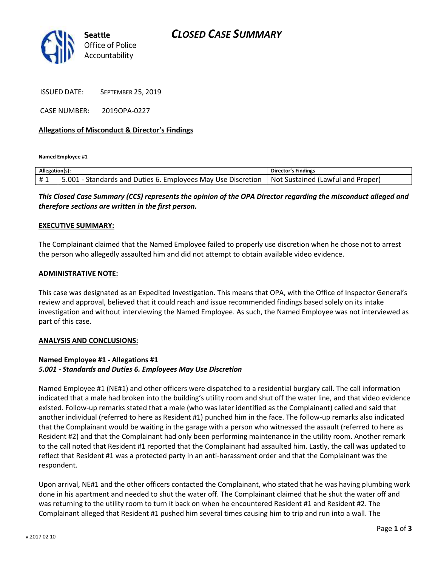## *CLOSED CASE SUMMARY*



ISSUED DATE: SEPTEMBER 25, 2019

CASE NUMBER: 2019OPA-0227

### **Allegations of Misconduct & Director's Findings**

**Named Employee #1**

| Allegation(s): |                                                                   | <b>Director's Findings</b>           |
|----------------|-------------------------------------------------------------------|--------------------------------------|
| #1             | 5.001<br>1 - Standards and Duties 6. Employees May Use Discretion | (I Not Sustained (Lawful and Proper) |

*This Closed Case Summary (CCS) represents the opinion of the OPA Director regarding the misconduct alleged and therefore sections are written in the first person.* 

### **EXECUTIVE SUMMARY:**

The Complainant claimed that the Named Employee failed to properly use discretion when he chose not to arrest the person who allegedly assaulted him and did not attempt to obtain available video evidence.

### **ADMINISTRATIVE NOTE:**

This case was designated as an Expedited Investigation. This means that OPA, with the Office of Inspector General's review and approval, believed that it could reach and issue recommended findings based solely on its intake investigation and without interviewing the Named Employee. As such, the Named Employee was not interviewed as part of this case.

#### **ANALYSIS AND CONCLUSIONS:**

## **Named Employee #1 - Allegations #1** *5.001 - Standards and Duties 6. Employees May Use Discretion*

Named Employee #1 (NE#1) and other officers were dispatched to a residential burglary call. The call information indicated that a male had broken into the building's utility room and shut off the water line, and that video evidence existed. Follow-up remarks stated that a male (who was later identified as the Complainant) called and said that another individual (referred to here as Resident #1) punched him in the face. The follow-up remarks also indicated that the Complainant would be waiting in the garage with a person who witnessed the assault (referred to here as Resident #2) and that the Complainant had only been performing maintenance in the utility room. Another remark to the call noted that Resident #1 reported that the Complainant had assaulted him. Lastly, the call was updated to reflect that Resident #1 was a protected party in an anti-harassment order and that the Complainant was the respondent.

Upon arrival, NE#1 and the other officers contacted the Complainant, who stated that he was having plumbing work done in his apartment and needed to shut the water off. The Complainant claimed that he shut the water off and was returning to the utility room to turn it back on when he encountered Resident #1 and Resident #2. The Complainant alleged that Resident #1 pushed him several times causing him to trip and run into a wall. The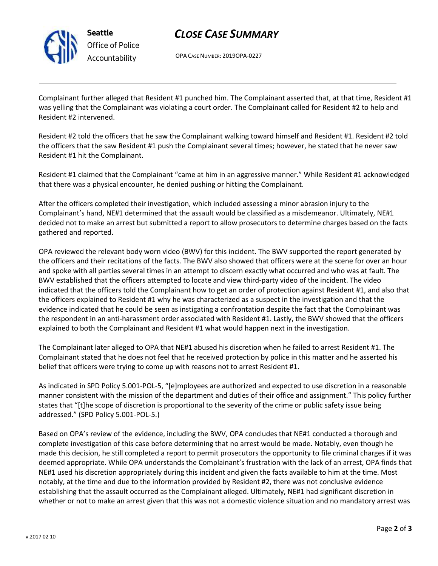

**Seattle** *Office of Police Accountability*

# *CLOSE CASE SUMMARY*

OPA CASE NUMBER: 2019OPA-0227

Complainant further alleged that Resident #1 punched him. The Complainant asserted that, at that time, Resident #1 was yelling that the Complainant was violating a court order. The Complainant called for Resident #2 to help and Resident #2 intervened.

Resident #2 told the officers that he saw the Complainant walking toward himself and Resident #1. Resident #2 told the officers that the saw Resident #1 push the Complainant several times; however, he stated that he never saw Resident #1 hit the Complainant.

Resident #1 claimed that the Complainant "came at him in an aggressive manner." While Resident #1 acknowledged that there was a physical encounter, he denied pushing or hitting the Complainant.

After the officers completed their investigation, which included assessing a minor abrasion injury to the Complainant's hand, NE#1 determined that the assault would be classified as a misdemeanor. Ultimately, NE#1 decided not to make an arrest but submitted a report to allow prosecutors to determine charges based on the facts gathered and reported.

OPA reviewed the relevant body worn video (BWV) for this incident. The BWV supported the report generated by the officers and their recitations of the facts. The BWV also showed that officers were at the scene for over an hour and spoke with all parties several times in an attempt to discern exactly what occurred and who was at fault. The BWV established that the officers attempted to locate and view third-party video of the incident. The video indicated that the officers told the Complainant how to get an order of protection against Resident #1, and also that the officers explained to Resident #1 why he was characterized as a suspect in the investigation and that the evidence indicated that he could be seen as instigating a confrontation despite the fact that the Complainant was the respondent in an anti-harassment order associated with Resident #1. Lastly, the BWV showed that the officers explained to both the Complainant and Resident #1 what would happen next in the investigation.

The Complainant later alleged to OPA that NE#1 abused his discretion when he failed to arrest Resident #1. The Complainant stated that he does not feel that he received protection by police in this matter and he asserted his belief that officers were trying to come up with reasons not to arrest Resident #1.

As indicated in SPD Policy 5.001-POL-5, "[e]mployees are authorized and expected to use discretion in a reasonable manner consistent with the mission of the department and duties of their office and assignment." This policy further states that "[t]he scope of discretion is proportional to the severity of the crime or public safety issue being addressed." (SPD Policy 5.001-POL-5.)

Based on OPA's review of the evidence, including the BWV, OPA concludes that NE#1 conducted a thorough and complete investigation of this case before determining that no arrest would be made. Notably, even though he made this decision, he still completed a report to permit prosecutors the opportunity to file criminal charges if it was deemed appropriate. While OPA understands the Complainant's frustration with the lack of an arrest, OPA finds that NE#1 used his discretion appropriately during this incident and given the facts available to him at the time. Most notably, at the time and due to the information provided by Resident #2, there was not conclusive evidence establishing that the assault occurred as the Complainant alleged. Ultimately, NE#1 had significant discretion in whether or not to make an arrest given that this was not a domestic violence situation and no mandatory arrest was